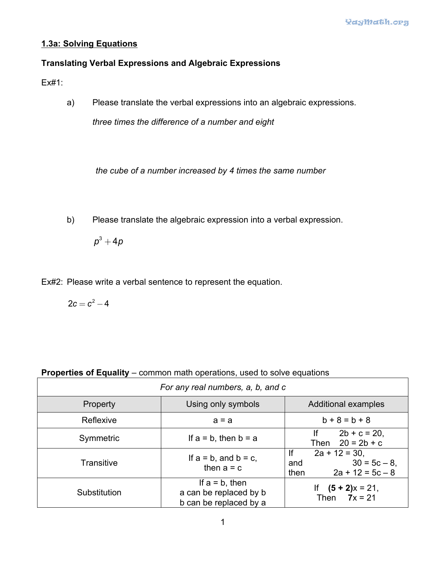## **1.3a: Solving Equations**

## **Translating Verbal Expressions and Algebraic Expressions**

Ex#1:

a) Please translate the verbal expressions into an algebraic expressions.

*three times the difference of a number and eight*

*the cube of a number increased by 4 times the same number*

b) Please translate the algebraic expression into a verbal expression.

 $p^3 + 4p$ 

Ex#2: Please write a verbal sentence to represent the equation.

 $2c = c^2 - 4$ 

| <b>Properties of Equality</b> – common math operations, used to solve equations |  |  |  |  |
|---------------------------------------------------------------------------------|--|--|--|--|
|                                                                                 |  |  |  |  |

| For any real numbers, a, b, and c |                                                                       |                                                                            |  |  |  |  |
|-----------------------------------|-----------------------------------------------------------------------|----------------------------------------------------------------------------|--|--|--|--|
| <b>Property</b>                   | Using only symbols                                                    | <b>Additional examples</b>                                                 |  |  |  |  |
| Reflexive                         | $a = a$                                                               | $b + 8 = b + 8$                                                            |  |  |  |  |
| Symmetric                         | If $a = b$ , then $b = a$                                             | $2b + c = 20$ ,<br>lf.<br>Then $20 = 2b + c$                               |  |  |  |  |
| <b>Transitive</b>                 | If $a = b$ , and $b = c$ ,<br>then $a = c$                            | lf<br>$2a + 12 = 30$<br>$30 = 5c - 8$<br>and<br>$2a + 12 = 5c - 8$<br>then |  |  |  |  |
| Substitution                      | If $a = b$ , then<br>a can be replaced by b<br>b can be replaced by a | $(5 + 2)x = 21$ ,<br>Then $7x = 21$                                        |  |  |  |  |